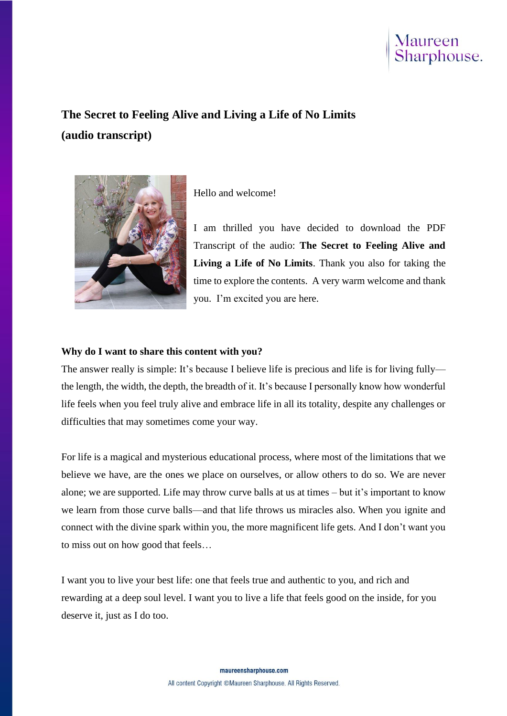

# **The Secret to Feeling Alive and Living a Life of No Limits (audio transcript)**



Hello and welcome!

I am thrilled you have decided to download the PDF Transcript of the audio: **The Secret to Feeling Alive and Living a Life of No Limits**. Thank you also for taking the time to explore the contents. A very warm welcome and thank you. I'm excited you are here.

#### **Why do I want to share this content with you?**

The answer really is simple: It's because I believe life is precious and life is for living fully the length, the width, the depth, the breadth of it. It's because I personally know how wonderful life feels when you feel truly alive and embrace life in all its totality, despite any challenges or difficulties that may sometimes come your way.

For life is a magical and mysterious educational process, where most of the limitations that we believe we have, are the ones we place on ourselves, or allow others to do so. We are never alone; we are supported. Life may throw curve balls at us at times – but it's important to know we learn from those curve balls—and that life throws us miracles also. When you ignite and connect with the divine spark within you, the more magnificent life gets. And I don't want you to miss out on how good that feels…

I want you to live your best life: one that feels true and authentic to you, and rich and rewarding at a deep soul level. I want you to live a life that feels good on the inside, for you deserve it, just as I do too.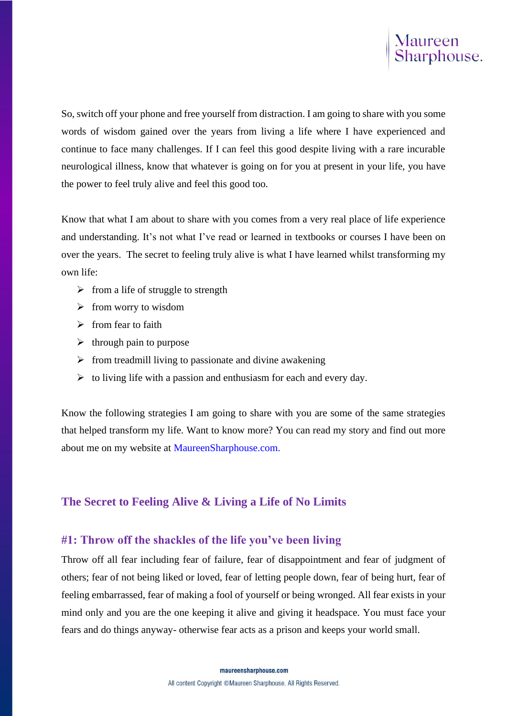So, switch off your phone and free yourself from distraction. I am going to share with you some words of wisdom gained over the years from living a life where I have experienced and continue to face many challenges. If I can feel this good despite living with a rare incurable neurological illness, know that whatever is going on for you at present in your life, you have the power to feel truly alive and feel this good too.

Know that what I am about to share with you comes from a very real place of life experience and understanding. It's not what I've read or learned in textbooks or courses I have been on over the years. The secret to feeling truly alive is what I have learned whilst transforming my own life:

- $\triangleright$  from a life of struggle to strength
- $\triangleright$  from worry to wisdom
- $\triangleright$  from fear to faith
- $\triangleright$  through pain to purpose
- $\triangleright$  from treadmill living to passionate and divine awakening
- $\triangleright$  to living life with a passion and enthusiasm for each and every day.

Know the following strategies I am going to share with you are some of the same strategies that helped transform my life. Want to know more? You can read my story and find out more about me on my website at MaureenSharphouse.com.

# **The Secret to Feeling Alive & Living a Life of No Limits**

# **#1: Throw off the shackles of the life you've been living**

Throw off all fear including fear of failure, fear of disappointment and fear of judgment of others; fear of not being liked or loved, fear of letting people down, fear of being hurt, fear of feeling embarrassed, fear of making a fool of yourself or being wronged. All fear exists in your mind only and you are the one keeping it alive and giving it headspace. You must face your fears and do things anyway- otherwise fear acts as a prison and keeps your world small.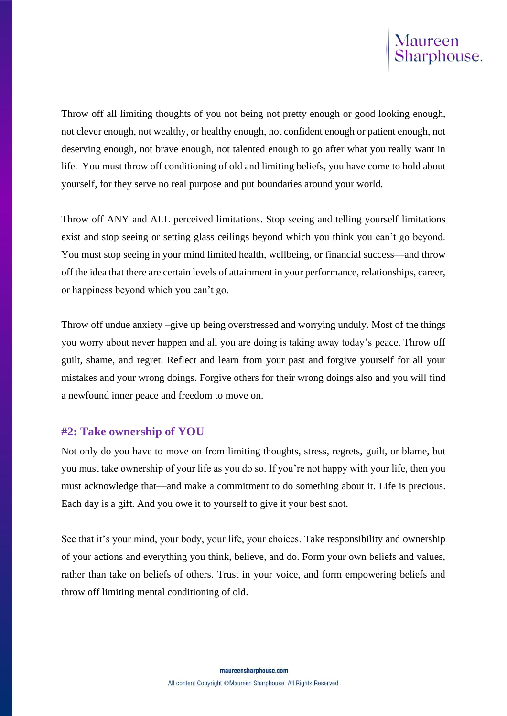

Throw off all limiting thoughts of you not being not pretty enough or good looking enough, not clever enough, not wealthy, or healthy enough, not confident enough or patient enough, not deserving enough, not brave enough, not talented enough to go after what you really want in life. You must throw off conditioning of old and limiting beliefs, you have come to hold about yourself, for they serve no real purpose and put boundaries around your world.

Throw off ANY and ALL perceived limitations. Stop seeing and telling yourself limitations exist and stop seeing or setting glass ceilings beyond which you think you can't go beyond. You must stop seeing in your mind limited health, wellbeing, or financial success—and throw off the idea that there are certain levels of attainment in your performance, relationships, career, or happiness beyond which you can't go.

Throw off undue anxiety –give up being overstressed and worrying unduly. Most of the things you worry about never happen and all you are doing is taking away today's peace. Throw off guilt, shame, and regret. Reflect and learn from your past and forgive yourself for all your mistakes and your wrong doings. Forgive others for their wrong doings also and you will find a newfound inner peace and freedom to move on.

#### **#2: Take ownership of YOU**

Not only do you have to move on from limiting thoughts, stress, regrets, guilt, or blame, but you must take ownership of your life as you do so. If you're not happy with your life, then you must acknowledge that—and make a commitment to do something about it. Life is precious. Each day is a gift. And you owe it to yourself to give it your best shot.

See that it's your mind, your body, your life, your choices. Take responsibility and ownership of your actions and everything you think, believe, and do. Form your own beliefs and values, rather than take on beliefs of others. Trust in your voice, and form empowering beliefs and throw off limiting mental conditioning of old.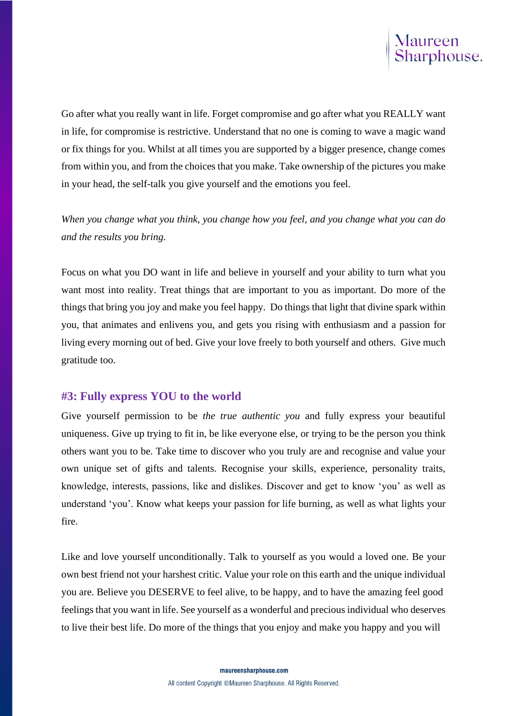

Go after what you really want in life. Forget compromise and go after what you REALLY want in life, for compromise is restrictive. Understand that no one is coming to wave a magic wand or fix things for you. Whilst at all times you are supported by a bigger presence, change comes from within you, and from the choices that you make. Take ownership of the pictures you make in your head, the self-talk you give yourself and the emotions you feel.

*When you change what you think, you change how you feel, and you change what you can do and the results you bring.*

Focus on what you DO want in life and believe in yourself and your ability to turn what you want most into reality. Treat things that are important to you as important. Do more of the things that bring you joy and make you feel happy. Do things that light that divine spark within you, that animates and enlivens you, and gets you rising with enthusiasm and a passion for living every morning out of bed. Give your love freely to both yourself and others. Give much gratitude too.

#### **#3: Fully express YOU to the world**

Give yourself permission to be *the true authentic you* and fully express your beautiful uniqueness. Give up trying to fit in, be like everyone else, or trying to be the person you think others want you to be. Take time to discover who you truly are and recognise and value your own unique set of gifts and talents. Recognise your skills, experience, personality traits, knowledge, interests, passions, like and dislikes. Discover and get to know 'you' as well as understand 'you'. Know what keeps your passion for life burning, as well as what lights your fire.

Like and love yourself unconditionally. Talk to yourself as you would a loved one. Be your own best friend not your harshest critic. Value your role on this earth and the unique individual you are. Believe you DESERVE to feel alive, to be happy, and to have the amazing feel good feelings that you want in life. See yourself as a wonderful and precious individual who deserves to live their best life. Do more of the things that you enjoy and make you happy and you will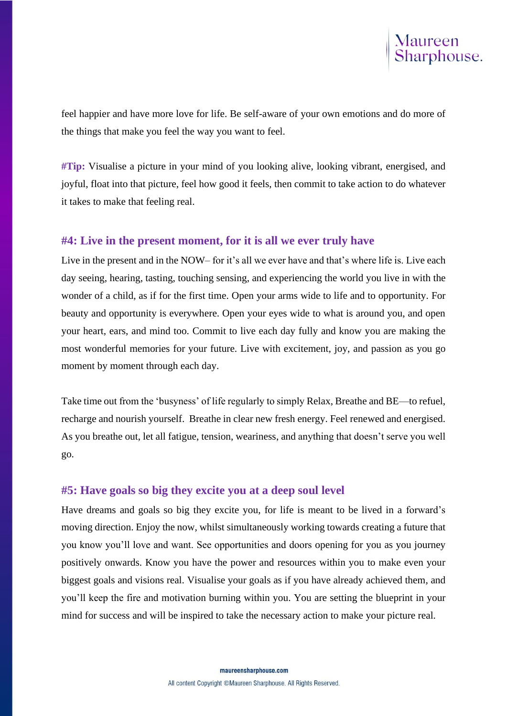feel happier and have more love for life. Be self-aware of your own emotions and do more of the things that make you feel the way you want to feel.

**#Tip:** Visualise a picture in your mind of you looking alive, looking vibrant, energised, and joyful, float into that picture, feel how good it feels, then commit to take action to do whatever it takes to make that feeling real.

## **#4: Live in the present moment, for it is all we ever truly have**

Live in the present and in the NOW– for it's all we ever have and that's where life is. Live each day seeing, hearing, tasting, touching sensing, and experiencing the world you live in with the wonder of a child, as if for the first time. Open your arms wide to life and to opportunity. For beauty and opportunity is everywhere. Open your eyes wide to what is around you, and open your heart, ears, and mind too. Commit to live each day fully and know you are making the most wonderful memories for your future. Live with excitement, joy, and passion as you go moment by moment through each day.

Take time out from the 'busyness' of life regularly to simply Relax, Breathe and BE—to refuel, recharge and nourish yourself. Breathe in clear new fresh energy. Feel renewed and energised. As you breathe out, let all fatigue, tension, weariness, and anything that doesn't serve you well go.

# **#5: Have goals so big they excite you at a deep soul level**

Have dreams and goals so big they excite you, for life is meant to be lived in a forward's moving direction. Enjoy the now, whilst simultaneously working towards creating a future that you know you'll love and want. See opportunities and doors opening for you as you journey positively onwards. Know you have the power and resources within you to make even your biggest goals and visions real. Visualise your goals as if you have already achieved them, and you'll keep the fire and motivation burning within you. You are setting the blueprint in your mind for success and will be inspired to take the necessary action to make your picture real.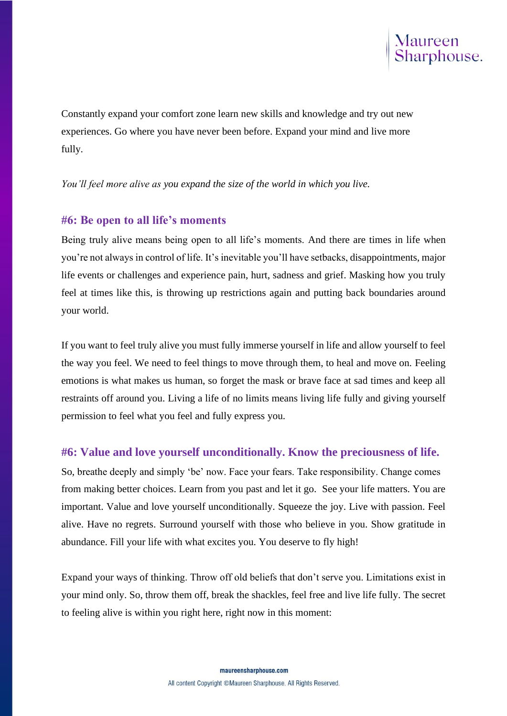

Constantly expand your comfort zone learn new skills and knowledge and try out new experiences. Go where you have never been before. Expand your mind and live more fully.

*You'll feel more alive as you expand the size of the world in which you live.*

#### **#6: Be open to all life's moments**

Being truly alive means being open to all life's moments. And there are times in life when you're not always in control of life. It's inevitable you'll have setbacks, disappointments, major life events or challenges and experience pain, hurt, sadness and grief. Masking how you truly feel at times like this, is throwing up restrictions again and putting back boundaries around your world.

If you want to feel truly alive you must fully immerse yourself in life and allow yourself to feel the way you feel. We need to feel things to move through them, to heal and move on. Feeling emotions is what makes us human, so forget the mask or brave face at sad times and keep all restraints off around you. Living a life of no limits means living life fully and giving yourself permission to feel what you feel and fully express you.

### **#6: Value and love yourself unconditionally. Know the preciousness of life.**

So, breathe deeply and simply 'be' now. Face your fears. Take responsibility. Change comes from making better choices. Learn from you past and let it go. See your life matters. You are important. Value and love yourself unconditionally. Squeeze the joy. Live with passion. Feel alive. Have no regrets. Surround yourself with those who believe in you. Show gratitude in abundance. Fill your life with what excites you. You deserve to fly high!

Expand your ways of thinking. Throw off old beliefs that don't serve you. Limitations exist in your mind only. So, throw them off, break the shackles, feel free and live life fully. The secret to feeling alive is within you right here, right now in this moment: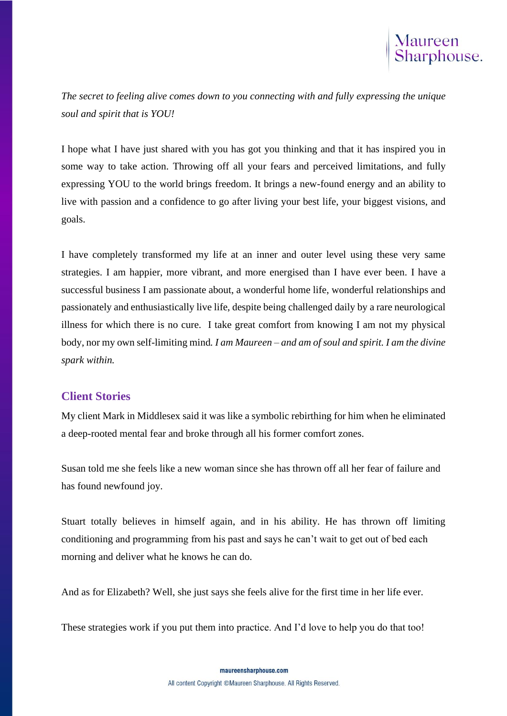*The secret to feeling alive comes down to you connecting with and fully expressing the unique soul and spirit that is YOU!* 

I hope what I have just shared with you has got you thinking and that it has inspired you in some way to take action. Throwing off all your fears and perceived limitations, and fully expressing YOU to the world brings freedom. It brings a new-found energy and an ability to live with passion and a confidence to go after living your best life, your biggest visions, and goals.

I have completely transformed my life at an inner and outer level using these very same strategies. I am happier, more vibrant, and more energised than I have ever been. I have a successful business I am passionate about, a wonderful home life, wonderful relationships and passionately and enthusiastically live life, despite being challenged daily by a rare neurological illness for which there is no cure. I take great comfort from knowing I am not my physical body, nor my own self-limiting mind*. I am Maureen – and am of soul and spirit. I am the divine spark within.*

# **Client Stories**

My client Mark in Middlesex said it was like a symbolic rebirthing for him when he eliminated a deep-rooted mental fear and broke through all his former comfort zones.

Susan told me she feels like a new woman since she has thrown off all her fear of failure and has found newfound joy.

Stuart totally believes in himself again, and in his ability. He has thrown off limiting conditioning and programming from his past and says he can't wait to get out of bed each morning and deliver what he knows he can do.

And as for Elizabeth? Well, she just says she feels alive for the first time in her life ever.

These strategies work if you put them into practice. And I'd love to help you do that too!